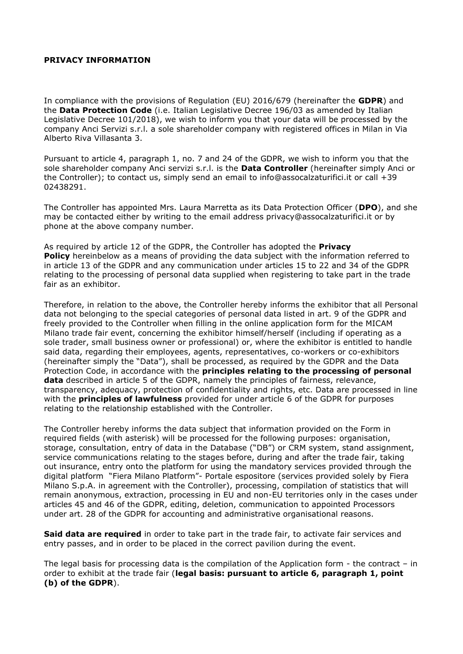## **PRIVACY INFORMATION**

In compliance with the provisions of Regulation (EU) 2016/679 (hereinafter the **GDPR**) and the **Data Protection Code** (i.e. Italian Legislative Decree 196/03 as amended by Italian Legislative Decree 101/2018), we wish to inform you that your data will be processed by the company Anci Servizi s.r.l. a sole shareholder company with registered offices in Milan in Via Alberto Riva Villasanta 3.

Pursuant to article 4, paragraph 1, no. 7 and 24 of the GDPR, we wish to inform you that the sole shareholder company Anci servizi s.r.l. is the **Data Controller** (hereinafter simply Anci or the Controller); to contact us, simply send an email to info@assocalzaturifici.it or call +39 02438291.

The Controller has appointed Mrs. Laura Marretta as its Data Protection Officer (**DPO**), and she may be contacted either by writing to the email address privacy@assocalzaturifici.it or by phone at the above company number.

As required by article 12 of the GDPR, the Controller has adopted the **Privacy Policy** hereinbelow as a means of providing the data subject with the information referred to in article 13 of the GDPR and any communication under articles 15 to 22 and 34 of the GDPR relating to the processing of personal data supplied when registering to take part in the trade fair as an exhibitor.

Therefore, in relation to the above, the Controller hereby informs the exhibitor that all Personal data not belonging to the special categories of personal data listed in art. 9 of the GDPR and freely provided to the Controller when filling in the online application form for the MICAM Milano trade fair event, concerning the exhibitor himself/herself (including if operating as a sole trader, small business owner or professional) or, where the exhibitor is entitled to handle said data, regarding their employees, agents, representatives, co-workers or co-exhibitors (hereinafter simply the "Data"), shall be processed, as required by the GDPR and the Data Protection Code, in accordance with the **principles relating to the processing of personal data** described in article 5 of the GDPR, namely the principles of fairness, relevance, transparency, adequacy, protection of confidentiality and rights, etc. Data are processed in line with the **principles of lawfulness** provided for under article 6 of the GDPR for purposes relating to the relationship established with the Controller.

The Controller hereby informs the data subject that information provided on the Form in required fields (with asterisk) will be processed for the following purposes: organisation, storage, consultation, entry of data in the Database ("DB") or CRM system, stand assignment, service communications relating to the stages before, during and after the trade fair, taking out insurance, entry onto the platform for using the mandatory services provided through the digital platform "Fiera Milano Platform"- Portale espositore (services provided solely by Fiera Milano S.p.A. in agreement with the Controller), processing, compilation of statistics that will remain anonymous, extraction, processing in EU and non-EU territories only in the cases under articles 45 and 46 of the GDPR, editing, deletion, communication to appointed Processors under art. 28 of the GDPR for accounting and administrative organisational reasons.

**Said data are required** in order to take part in the trade fair, to activate fair services and entry passes, and in order to be placed in the correct pavilion during the event.

The legal basis for processing data is the compilation of the Application form - the contract – in order to exhibit at the trade fair (**legal basis: pursuant to article 6, paragraph 1, point (b) of the GDPR**).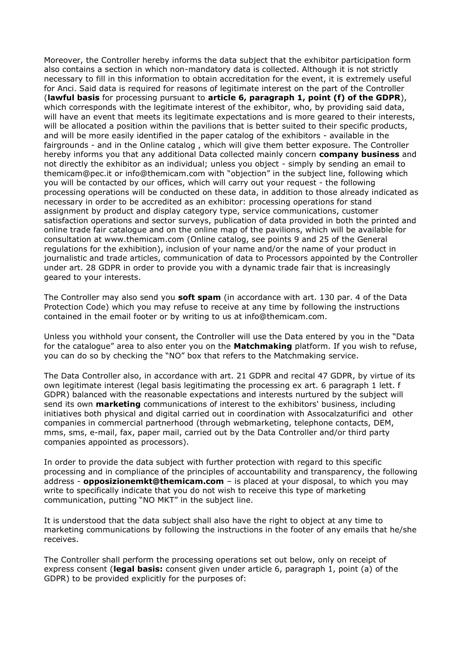Moreover, the Controller hereby informs the data subject that the exhibitor participation form also contains a section in which non-mandatory data is collected. Although it is not strictly necessary to fill in this information to obtain accreditation for the event, it is extremely useful for Anci. Said data is required for reasons of legitimate interest on the part of the Controller (**lawful basis** for processing pursuant to **article 6, paragraph 1, point (f) of the GDPR**), which corresponds with the legitimate interest of the exhibitor, who, by providing said data, will have an event that meets its legitimate expectations and is more geared to their interests, will be allocated a position within the pavilions that is better suited to their specific products, and will be more easily identified in the paper catalog of the exhibitors - available in the fairgrounds - and in the Online catalog , which will give them better exposure. The Controller hereby informs you that any additional Data collected mainly concern **company business** and not directly the exhibitor as an individual; unless you object - simply by sending an email to themicam@pec.it or info@themicam.com with "objection" in the subject line, following which you will be contacted by our offices, which will carry out your request - the following processing operations will be conducted on these data, in addition to those already indicated as necessary in order to be accredited as an exhibitor: processing operations for stand assignment by product and display category type, service communications, customer satisfaction operations and sector surveys, publication of data provided in both the printed and online trade fair catalogue and on the online map of the pavilions, which will be available for consultation at www.themicam.com (Online catalog, see points 9 and 25 of the General regulations for the exhibition), inclusion of your name and/or the name of your product in journalistic and trade articles, communication of data to Processors appointed by the Controller under art. 28 GDPR in order to provide you with a dynamic trade fair that is increasingly geared to your interests.

The Controller may also send you **soft spam** (in accordance with art. 130 par. 4 of the Data Protection Code) which you may refuse to receive at any time by following the instructions contained in the email footer or by writing to us at info@themicam.com.

Unless you withhold your consent, the Controller will use the Data entered by you in the "Data for the catalogue" area to also enter you on the **Matchmaking** platform. If you wish to refuse, you can do so by checking the "NO" box that refers to the Matchmaking service.

The Data Controller also, in accordance with art. 21 GDPR and recital 47 GDPR, by virtue of its own legitimate interest (legal basis legitimating the processing ex art. 6 paragraph 1 lett. f GDPR) balanced with the reasonable expectations and interests nurtured by the subject will send its own **marketing** communications of interest to the exhibitors' business, including initiatives both physical and digital carried out in coordination with Assocalzaturifici and other companies in commercial partnerhood (through webmarketing, telephone contacts, DEM, mms, sms, e-mail, fax, paper mail, carried out by the Data Controller and/or third party companies appointed as processors).

In order to provide the data subject with further protection with regard to this specific processing and in compliance of the principles of accountability and transparency, the following address - **opposizionemkt@themicam.com** – is placed at your disposal, to which you may write to specifically indicate that you do not wish to receive this type of marketing communication, putting "NO MKT" in the subject line.

It is understood that the data subject shall also have the right to object at any time to marketing communications by following the instructions in the footer of any emails that he/she receives.

The Controller shall perform the processing operations set out below, only on receipt of express consent (**legal basis:** consent given under article 6, paragraph 1, point (a) of the GDPR) to be provided explicitly for the purposes of: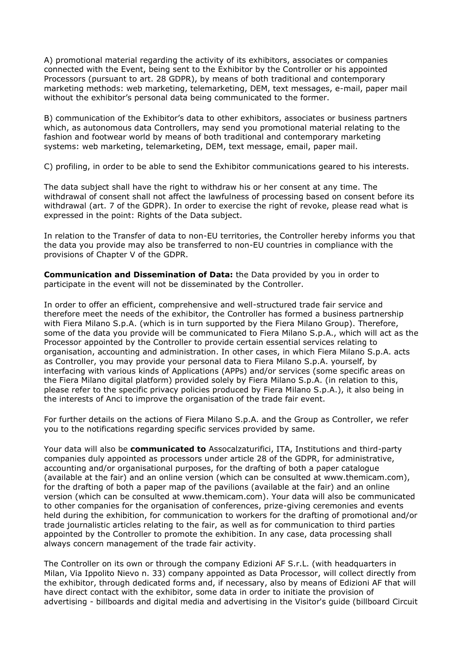A) promotional material regarding the activity of its exhibitors, associates or companies connected with the Event, being sent to the Exhibitor by the Controller or his appointed Processors (pursuant to art. 28 GDPR), by means of both traditional and contemporary marketing methods: web marketing, telemarketing, DEM, text messages, e-mail, paper mail without the exhibitor's personal data being communicated to the former.

B) communication of the Exhibitor's data to other exhibitors, associates or business partners which, as autonomous data Controllers, may send you promotional material relating to the fashion and footwear world by means of both traditional and contemporary marketing systems: web marketing, telemarketing, DEM, text message, email, paper mail.

C) profiling, in order to be able to send the Exhibitor communications geared to his interests.

The data subject shall have the right to withdraw his or her consent at any time. The withdrawal of consent shall not affect the lawfulness of processing based on consent before its withdrawal (art. 7 of the GDPR). In order to exercise the right of revoke, please read what is expressed in the point: Rights of the Data subject.

In relation to the Transfer of data to non-EU territories, the Controller hereby informs you that the data you provide may also be transferred to non-EU countries in compliance with the provisions of Chapter V of the GDPR.

**Communication and Dissemination of Data:** the Data provided by you in order to participate in the event will not be disseminated by the Controller.

In order to offer an efficient, comprehensive and well-structured trade fair service and therefore meet the needs of the exhibitor, the Controller has formed a business partnership with Fiera Milano S.p.A. (which is in turn supported by the Fiera Milano Group). Therefore, some of the data you provide will be communicated to Fiera Milano S.p.A., which will act as the Processor appointed by the Controller to provide certain essential services relating to organisation, accounting and administration. In other cases, in which Fiera Milano S.p.A. acts as Controller, you may provide your personal data to Fiera Milano S.p.A. yourself, by interfacing with various kinds of Applications (APPs) and/or services (some specific areas on the Fiera Milano digital platform) provided solely by Fiera Milano S.p.A. (in relation to this, please refer to the specific privacy policies produced by Fiera Milano S.p.A.), it also being in the interests of Anci to improve the organisation of the trade fair event.

For further details on the actions of Fiera Milano S.p.A. and the Group as Controller, we refer you to the notifications regarding specific services provided by same.

Your data will also be **communicated to** Assocalzaturifici, ITA, Institutions and third-party companies duly appointed as processors under article 28 of the GDPR, for administrative, accounting and/or organisational purposes, for the drafting of both a paper catalogue (available at the fair) and an online version (which can be consulted at www.themicam.com), for the drafting of both a paper map of the pavilions (available at the fair) and an online version (which can be consulted at www.themicam.com). Your data will also be communicated to other companies for the organisation of conferences, prize-giving ceremonies and events held during the exhibition, for communication to workers for the drafting of promotional and/or trade journalistic articles relating to the fair, as well as for communication to third parties appointed by the Controller to promote the exhibition. In any case, data processing shall always concern management of the trade fair activity.

The Controller on its own or through the company Edizioni AF S.r.L. (with headquarters in Milan, Via Ippolito Nievo n. 33) company appointed as Data Processor, will collect directly from the exhibitor, through dedicated forms and, if necessary, also by means of Edizioni AF that will have direct contact with the exhibitor, some data in order to initiate the provision of advertising - billboards and digital media and advertising in the Visitor's guide (billboard Circuit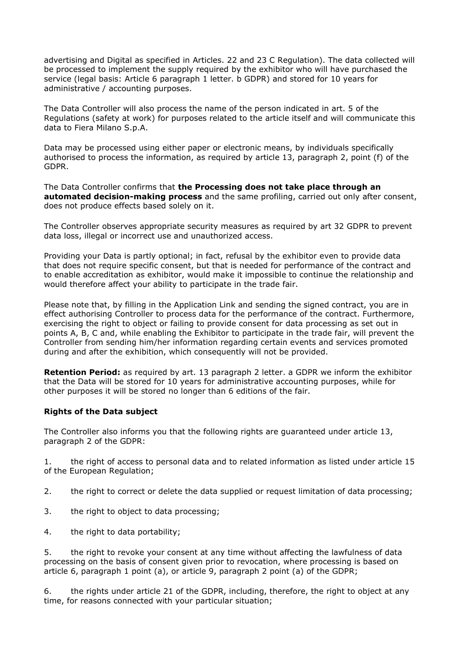advertising and Digital as specified in Articles. 22 and 23 C Regulation). The data collected will be processed to implement the supply required by the exhibitor who will have purchased the service (legal basis: Article 6 paragraph 1 letter. b GDPR) and stored for 10 years for administrative / accounting purposes.

The Data Controller will also process the name of the person indicated in art. 5 of the Regulations (safety at work) for purposes related to the article itself and will communicate this data to Fiera Milano S.p.A.

Data may be processed using either paper or electronic means, by individuals specifically authorised to process the information, as required by article 13, paragraph 2, point (f) of the GDPR.

The Data Controller confirms that **the Processing does not take place through an automated decision-making process** and the same profiling, carried out only after consent, does not produce effects based solely on it.

The Controller observes appropriate security measures as required by art 32 GDPR to prevent data loss, illegal or incorrect use and unauthorized access.

Providing your Data is partly optional; in fact, refusal by the exhibitor even to provide data that does not require specific consent, but that is needed for performance of the contract and to enable accreditation as exhibitor, would make it impossible to continue the relationship and would therefore affect your ability to participate in the trade fair.

Please note that, by filling in the Application Link and sending the signed contract, you are in effect authorising Controller to process data for the performance of the contract. Furthermore, exercising the right to object or failing to provide consent for data processing as set out in points A, B, C and, while enabling the Exhibitor to participate in the trade fair, will prevent the Controller from sending him/her information regarding certain events and services promoted during and after the exhibition, which consequently will not be provided.

**Retention Period:** as required by art. 13 paragraph 2 letter. a GDPR we inform the exhibitor that the Data will be stored for 10 years for administrative accounting purposes, while for other purposes it will be stored no longer than 6 editions of the fair.

## **Rights of the Data subject**

The Controller also informs you that the following rights are guaranteed under article 13, paragraph 2 of the GDPR:

1. the right of access to personal data and to related information as listed under article 15 of the European Regulation;

- 2. the right to correct or delete the data supplied or request limitation of data processing:
- 3. the right to object to data processing;
- 4. the right to data portability;

5. the right to revoke your consent at any time without affecting the lawfulness of data processing on the basis of consent given prior to revocation, where processing is based on article 6, paragraph 1 point (a), or article 9, paragraph 2 point (a) of the GDPR;

6. the rights under article 21 of the GDPR, including, therefore, the right to object at any time, for reasons connected with your particular situation;